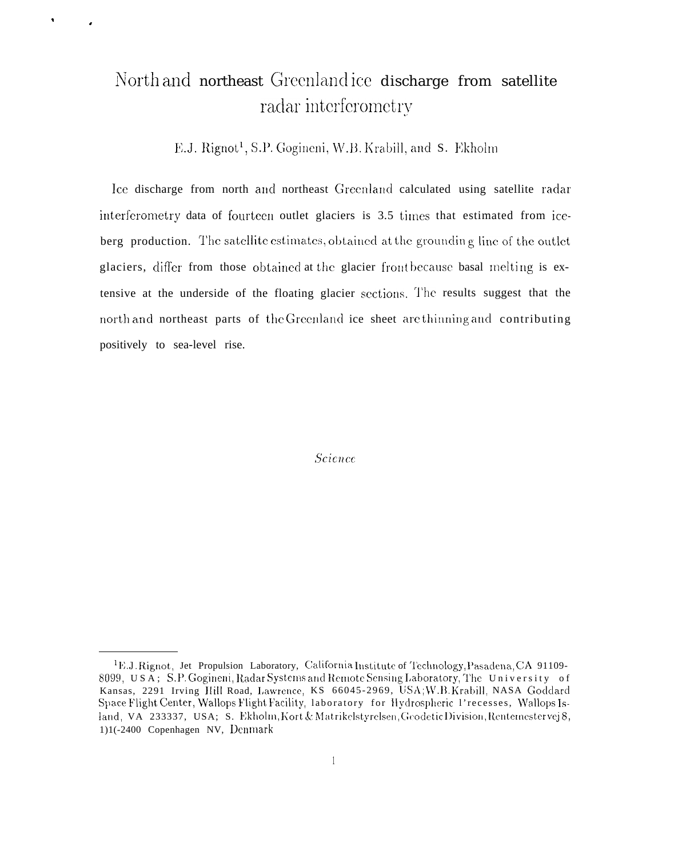### North and northeast Greenlandice discharge from satellite radar interferometry

 $\bullet$ 

E.J. Rignot<sup>1</sup>, S.P. Gogineni, W.B. Krabill, and S. Ekholm

Ice discharge from north and northeast Greenland calculated using satellite radar interferometry data of fourteen outlet glaciers is 3.5 times that estimated from iceberg production. The satellite estimates, obtained at the grounding line of the outlet glaciers, differ from those obtained at the glacier front because basal melting is extensive at the underside of the floating glacier sections. The results suggest that the north and northeast parts of the Greenland ice sheet are thinning and contributing positively to sea-level rise.

**Science** 

<sup>&</sup>lt;sup>1</sup>E.J.Rignot, Jet Propulsion Laboratory, California Institute of Technology, Pasadena, CA 91109-8099, USA; S.P. Gogineni, Radar Systems and Remote Sensing Laboratory, The University of Kansas, 2291 Irving Hill Road, Lawrence, KS 66045-2969, USA; W.B. Krabill, NASA Goddard Space Flight Center, Wallops Flight Facility, Iaboratory for Hydrospheric 1'recesses, Wallops Island, VA 233337, USA; S. Ekholm, Kort & Matrikelstyrelsen, Geodetic Division, Rentemestervej 8, 1)1(-2400 Copenhagen NV, Denmark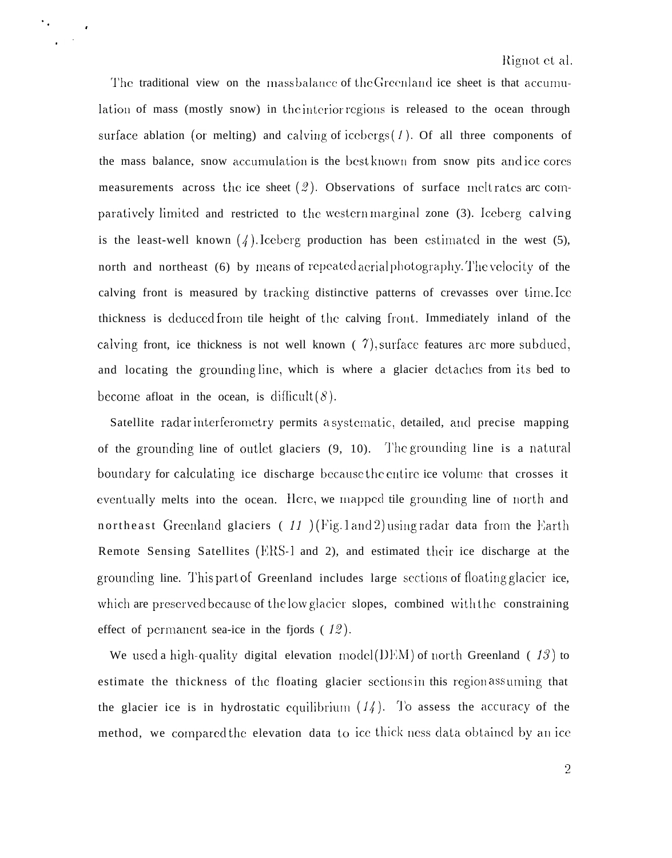The traditional view on the mass balance of the Greenland ice sheet is that accumulation of mass (mostly snow) in the interior regions is released to the ocean through surface ablation (or melting) and calving of icebergs  $(1)$ . Of all three components of the mass balance, snow accumulation is the best known from snow pits and ice cores measurements across the ice sheet  $(2)$ . Observations of surface meltrates are comparatively limited and restricted to the western marginal zone (3). Iceberg calving is the least-well known  $(\frac{1}{4})$ . Iceberg production has been estimated in the west (5), north and northeast (6) by means of repeated aerial photography. The velocity of the calving front is measured by tracking distinctive patterns of crevasses over time. Ice thickness is deduced from tile height of the calving front. Immediately inland of the calving front, ice thickness is not well known  $(7)$ , surface features are more subdued, and locating the grounding line, which is where a glacier detaches from its bed to become afloat in the ocean, is difficult  $(\delta)$ .

 $\gamma_{\rm eff}$ 

Satellite radar interferometry permits a systematic, detailed, and precise mapping of the grounding line of outlet glaciers  $(9, 10)$ . The grounding line is a natural boundary for calculating ice discharge because the entire ice volume that crosses it eventually melts into the ocean. Here, we mapped tile grounding line of north and northeast Greenland glaciers (11) (Fig. 1 and 2) using radar data from the Earth Remote Sensing Satellites (ERS-1 and 2), and estimated their ice discharge at the grounding line. This part of Greenland includes large sections of floating glacier ice, which are preserved because of the low glacier slopes, combined with the constraining effect of permanent sea-ice in the fjords  $(12)$ .

We used a high-quality digital elevation model(I)EM) of north Greenland (13) to estimate the thickness of the floating glacier sections in this region assuming that the glacier ice is in hydrostatic equilibrium  $(14)$ . To assess the accuracy of the method, we compared the elevation data to ice thick ness data obtained by an ice

 $\overline{2}$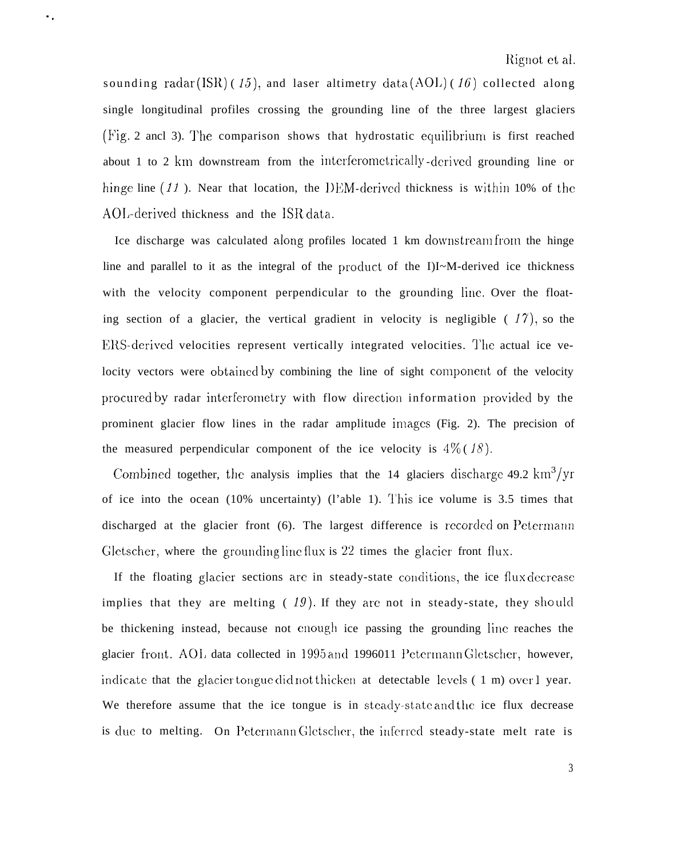sounding radar (ISR) (15), and laser altimetry data (AOL) (16) collected along single longitudinal profiles crossing the grounding line of the three largest glaciers (Fig. 2 ancl 3). The comparison shows that hydrostatic equilibrium is first reached about 1 to 2 km downstream from the interferometrically -derived grounding line or hinge line  $(11)$ . Near that location, the DEM-derived thickness is within 10% of the AOL-derived thickness and the ISR data.

. .

Ice discharge was calculated along profiles located 1 km clownstream from the hinge line and parallel to it as the integral of the product of the I)I~M-derived ice thickness with the velocity component perpendicular to the grounding line. Over the floating section of a glacier, the vertical gradient in velocity is negligible  $(17)$ , so the ERS-derived velocities represent vertically integrated velocities. The actual ice velocity vectors were obtained by combining the line of sight component of the velocity procured by radar interferometry with flow direction information provided by the prominent glacier flow lines in the radar amplitude images (Fig. 2). The precision of the measured perpendicular component of the ice velocity is  $4\%$  (18).

Combined together, the analysis implies that the 14 glaciers discharge 49.2 km<sup>3</sup>/yr of ice into the ocean (10% uncertainty) (l'able 1). '1'his ice volume is 3.5 times that discharged at the glacier front (6). The largest difference is recorded on Petermann Gletscher, where the grounding line flux is  $22$  times the glacier front flux.

If the floating glacier sections are in steady-state conditions, the ice flux decrease implies that they are melting (19). If they are not in steady-state, they should be thickening instead, because not enough ice passing the grounding line reaches the glacier front. AOI, data collected in 1995 and 1996011 Petermann Gletscher, however, indicate that the glacier tongue did not thicken at detectable levels  $(1 \text{ m})$  over 1 year. We therefore assume that the ice tongue is in steady-state and the ice flux decrease is due to melting. On Petermann Gletscher, the inferred steady-state melt rate is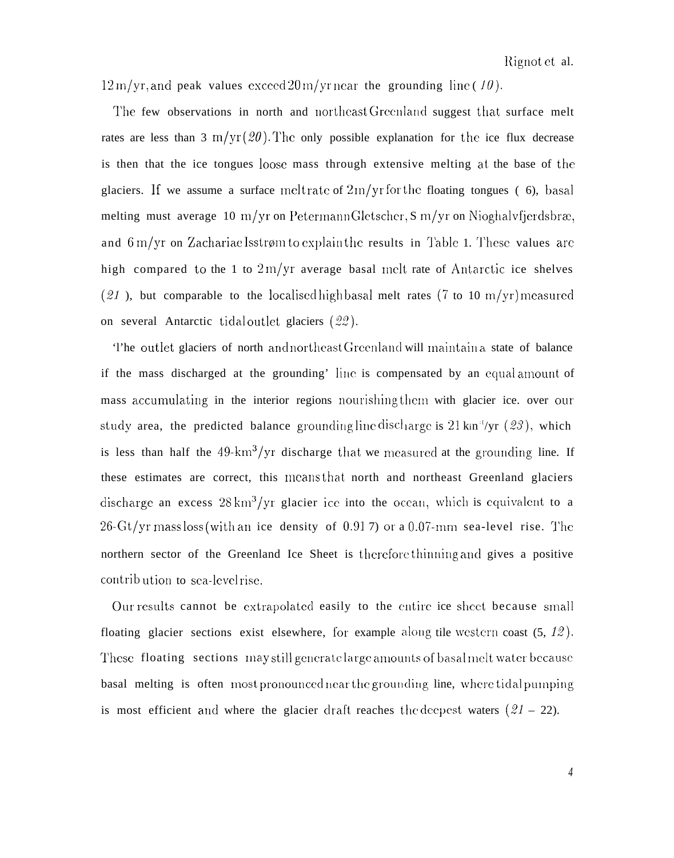$12 \,\mathrm{m}/\mathrm{yr}$ , and peak values exceed  $20 \,\mathrm{m}/\mathrm{yr}$  near the grounding line (10).

The few observations in north and northeast Greenland suggest that surface melt rates are less than 3 m/yr  $(20)$ . The only possible explanation for the ice flux decrease is then that the ice tongues loose mass through extensive melting at the base of the glaciers. If we assume a surface melt rate of  $2 \text{ m/yr}$  for the floating tongues (6), basal melting must average 10 m/yr on Petermann Gletscher, S m/yr on Nioghalvfjerdsbræ, and  $6 \text{ m/yr}$  on Zachariae Isstrøm to explain the results in Table 1. These values are high compared to the 1 to  $2m/yr$  average basal melt rate of Antarctic ice shelves (21), but comparable to the localised high basal melt rates (7 to 10 m/yr) measured on several Antarctic tidal outlet glaciers  $(22)$ .

'l'he outlet glaciers of north and northeast Greenland will maintain a state of balance if the mass discharged at the grounding' line is compensated by an equal amount of mass accumulating in the interior regions nourishing them with glacier ice. over our study area, the predicted balance grounding line discharge is 21 kin<sup>:(</sup>/yr (23), which is less than half the  $49 \text{-} km^3/\text{yr}$  discharge that we measured at the grounding line. If these estimates are correct, this means that north and northeast Greenland glaciers discharge an excess  $28 \text{ km}^3/\text{yr}$  glacier ice into the ocean, which is equivalent to a  $26-Gt/yr$  mass loss (with an ice density of 0.917) or a 0.07-mm sea-level rise. The northern sector of the Greenland Ice Sheet is therefore thinning and gives a positive contribution to sea-level rise.

Our results cannot be extrapolated easily to the entire ice sheet because small floating glacier sections exist elsewhere, for example along tile western coast  $(5, 12)$ . These floating sections may still generate large amounts of basal melt water because basal melting is often most pronounced near the grounding line, where tidal pumping is most efficient and where the glacier draft reaches the decpest waters  $(21 - 22)$ .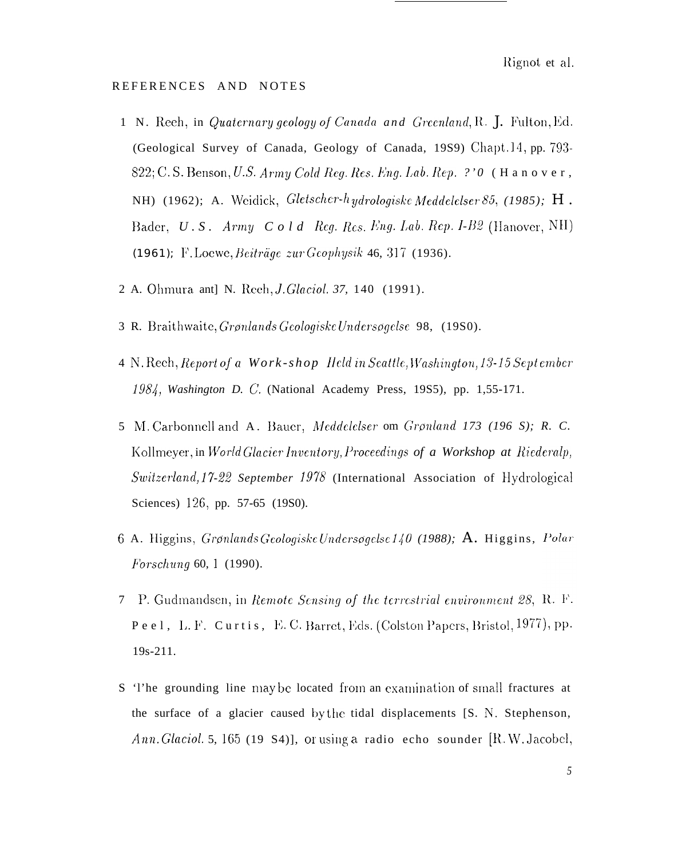Rignot et al.

#### REFERENCES AND NOTES

- 1 N. Reeh, in Quaternary geology of Canada and Greenland, R. J. Fulton, Ed. (Geological Survey of Canada, Geology of Canada, 1989) Chapt.14, pp. 793-822; C.S. Benson, U.S. Army Cold Reg. Res. Eng. Lab. Rep. ?' 0 (Hanover, NH) (1962); A. Weidick, Gletscher-hydrologiske Meddelelser 85, (1985); H. Bader, U.S. Army Cold Reg. Res. Eng. Lab. Rep. I-B2 (Hanover, NH) (1961); F. Loewe, Beiträge zur Geophysik 46, 317 (1936).
- 2 A. Ohmura ant] N. Reeh, *J. Glaciol. 37*, 140 (1991).
- 3 R. Braithwaite, Grønlands Geologiske Undersøgelse 98, (19S0).
- 4 N. Rech, Report of a Work-shop Held in Seattle, Washington, 13-15 Sept ember 1984, Washington D. C. (National Academy Press, 19S5), pp. 1,55-171.
- 5 M. Carbonnell and A. Bauer, Meddelelser om Grønland 173 (196 S); R. C. Kollmeyer, in World Glacier Inventory, Proceedings of a Workshop at Riederalp, Switzerland, 17-22 September 1978 (International Association of Hydrological Sciences) 126, pp. 57-65 (19S0).
- 6 A. Higgins, Grønlands Geologiske Undersøgelse 140 (1988); A. Higgins, Polar *Forschung* 60, 1 (1990).
- 7 P. Gudmandsen, in Remote Sensing of the terrestrial environment 28, R. F. Peel, L. F. Curtis, E. C. Barret, Eds. (Colston Papers, Bristol, 1977), pp.  $19s-211.$
- S 'l'he grounding line may be located from an examination of small fractures at the surface of a glacier caused by the tidal displacements [S. N. Stephenson, Ann. Glaciol. 5, 165 (19 S4)], or using a radio echo sounder [R. W. Jacobel,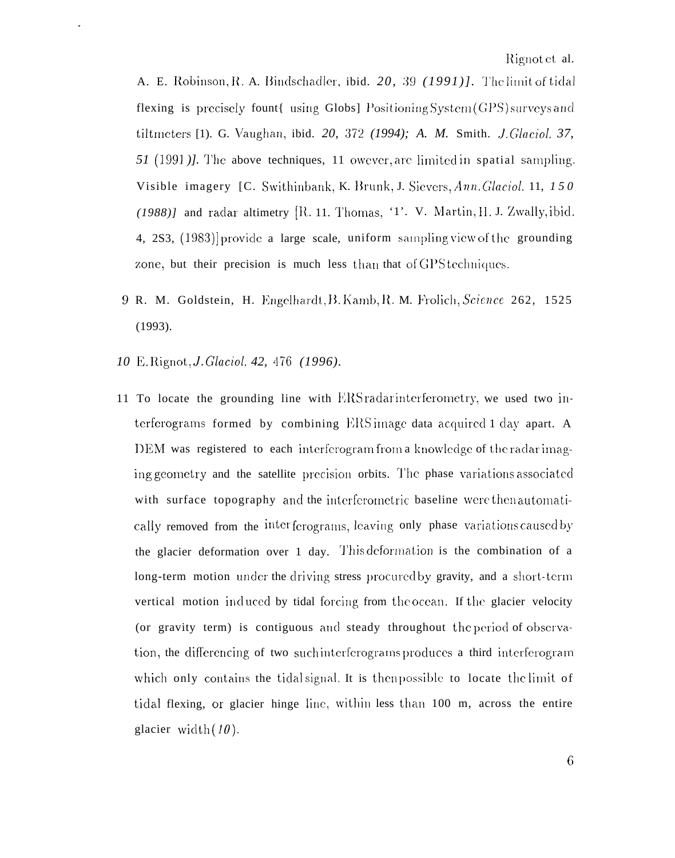A. E. Robinson, R. A. Bindschadler, ibid. 20, 39 (1991)]. The limit of tidal flexing is precisely fount{ using Globs] Positioning System (GPS) surveys and tiltmeters [1). G. Vaughan, ibid. 20, 372 (1994); A. M. Smith. J. Glaciol. 37, 51 (1991). The above techniques, 11 owever, are limited in spatial sampling. Visible imagery [C. Swithinbank, K. Brunk, J. Sievers, Ann. Glaciol. 11, 150  $(1988)$  and radar altimetry [R. 11. Thomas, '1'. V. Martin, H. J. Zwally, ibid. 4, 2S3, (1983) provide a large scale, uniform sampling view of the grounding zone, but their precision is much less than that of GPS techniques.

- 9 R. M. Goldstein, H. Engelhardt, B. Kamb, R. M. Frolich, Science 262, 1525  $(1993).$
- 10 E. Rignot, *J. Glaciol.* 42, 476 (1996).
- 11 To locate the grounding line with ERS radar interferometry, we used two interferograms formed by combining ERS image data acquired 1 day apart. A DEM was registered to each interferogram from a knowledge of the radar imaging geometry and the satellite precision orbits. The phase variations associated with surface topography and the interferometric baseline were then automatically removed from the interferograms, leaving only phase variations caused by the glacier deformation over 1 day. This deformation is the combination of a long-term motion under the driving stress procured by gravity, and a short-term vertical motion induced by tidal forcing from the ocean. If the glacier velocity (or gravity term) is contiguous and steady throughout the period of observation, the differencing of two such interferograms produces a third interferogram which only contains the tidal signal. It is then possible to locate the limit of tidal flexing, or glacier hinge line, within less than 100 m, across the entire glacier width  $(10)$ .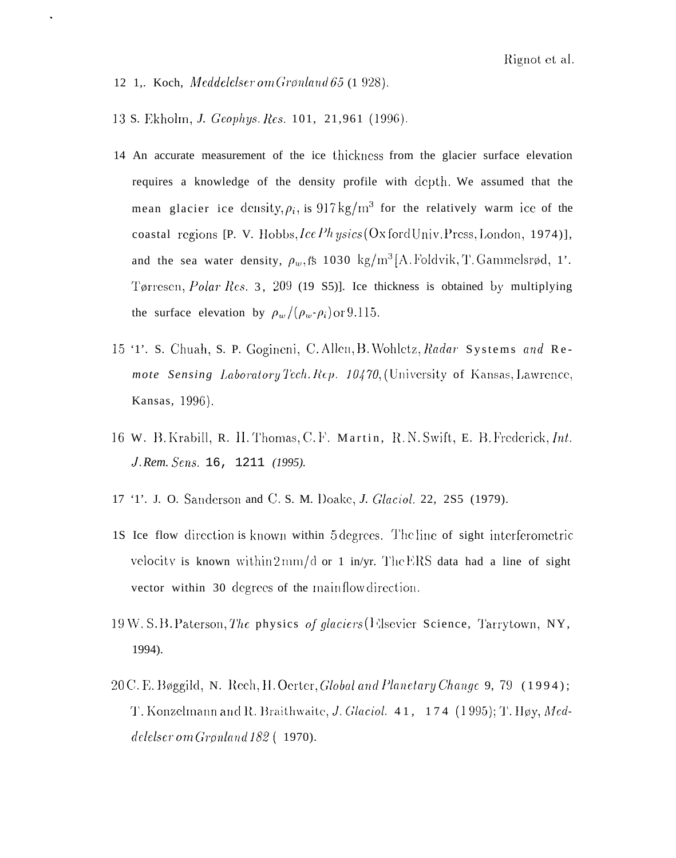12 1, Koch, Meddelelser om Grønland 65 (1928).

 $\blacksquare$ 

13 S. Ekholm, J. Geophys. Res. 101, 21,961 (1996).

- 14 An accurate measurement of the ice thickness from the glacier surface elevation requires a knowledge of the density profile with depth. We assumed that the mean glacier ice density,  $\rho_i$ , is 917 kg/m<sup>3</sup> for the relatively warm ice of the coastal regions [P. V. Hobbs, Ice Ph ysics (Oxford Univ. Press, London, 1974)], and the sea water density,  $\rho_w$ , fs 1030 kg/m<sup>3</sup>[A. Foldvik, T. Gammelsrød, 1'. Tørresen, Polar Res. 3, 209 (19 S5)]. Ice thickness is obtained by multiplying the surface elevation by  $\rho_w/(\rho_w \cdot \rho_i)$  or 9.115.
- 15 '1'. S. Chuah, S. P. Gogineni, C. Allen, B. Wohletz, Radar Systems and Remote Sensing Laboratory Tech. Rep. 10470, (University of Kansas, Lawrence, Kansas, 1996).
- 16 W. B. Krabill, R. H. Thomas, C.F. Martin, R.N. Swift, E. B. Frederick, Int. J. Rem. Sens. 16, 1211 (1995).
- 17 '1'. J. O. Sanderson and C. S. M. Doake, J. Glaciol. 22, 2S5 (1979).
- 18 Ice flow direction is known within 5 degrees. The line of sight interferometric velocity is known within  $2 \text{mm/d}$  or 1 in/yr. The ERS data had a line of sight vector within 30 degrees of the main flow direction.
- 19W. S.B. Paterson, The physics of glaciers (Flsevier Science, Tarrytown, NY, 1994).
- 20 C.E. Bøggild, N. Rech, H. Oerter, Global and Planetary Change 9, 79 (1994); T. Konzelmann and R. Braithwaite, J. Glaciol. 41, 174 (1995); T. Høy, Meddelelser om Grønland  $182$  (1970).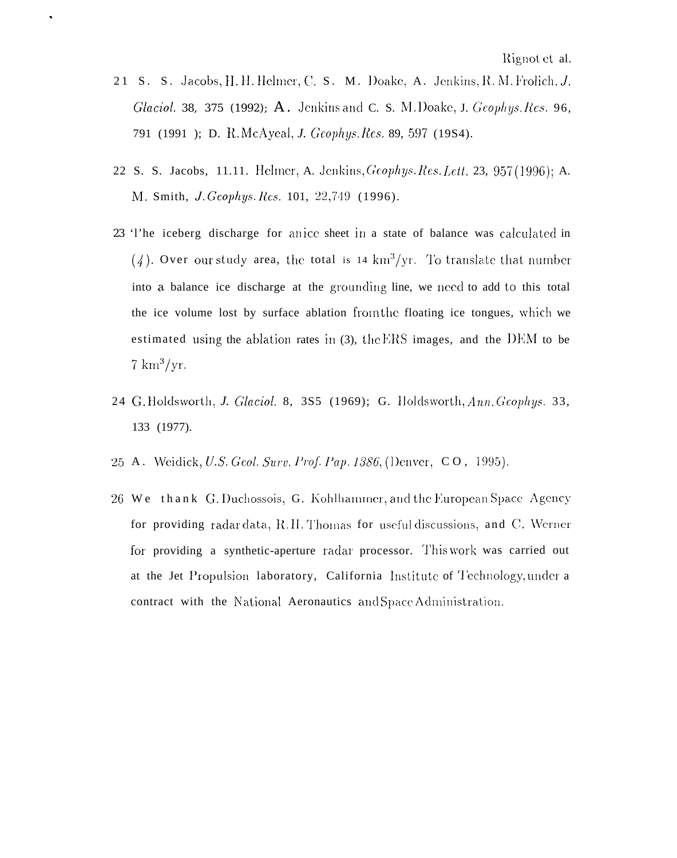21 S. S. Jacobs, H. H. Helmer, C. S. M. Doake, A. Jenkins, R. M. Frolich, J. Glaciol. 38, 375 (1992); A. Jenkins and C. S. M. Doake, J. Geophys. Res. 96, 791 (1991); D. R.McAyeal, J. Geophys. Res. 89, 597 (1984).

 $\bullet$ 

- 22 S. S. Jacobs, 11.11. Helmer, A. Jenkins, Geophys. Res. Lett. 23, 957 (1996); A. M. Smith, J. Geophys. Res. 101, 22,749 (1996).
- 23 'l'he iceberg discharge for anice sheet in a state of balance was calculated in  $(4)$ . Over our study area, the total is 14 km<sup>3</sup>/yr. To translate that number into a balance ice discharge at the grounding line, we need to add to this total the ice volume lost by surface ablation from the floating ice tongues, which we estimated using the ablation rates in (3), the ERS images, and the DEM to be  $7 \text{ km}^3/\text{yr}$ .
- 24 G. Holdsworth, J. Glaciol. 8, 3S5 (1969); G. Holdsworth, Ann. Geophys. 33, 133 (1977).
- 25 A. Weidick, U.S. Geol. Surv. Prof. Pap. 1386, (Denver, CO, 1995).
- 26 We thank G. Duchossois, G. Kohlhammer, and the European Space Agency for providing radar data, R.H. Thomas for useful discussions, and C. Werner for providing a synthetic-aperture radar processor. This work was carried out at the Jet Propulsion laboratory, California Institute of Technology, under a contract with the National Aeronautics and Space Administration.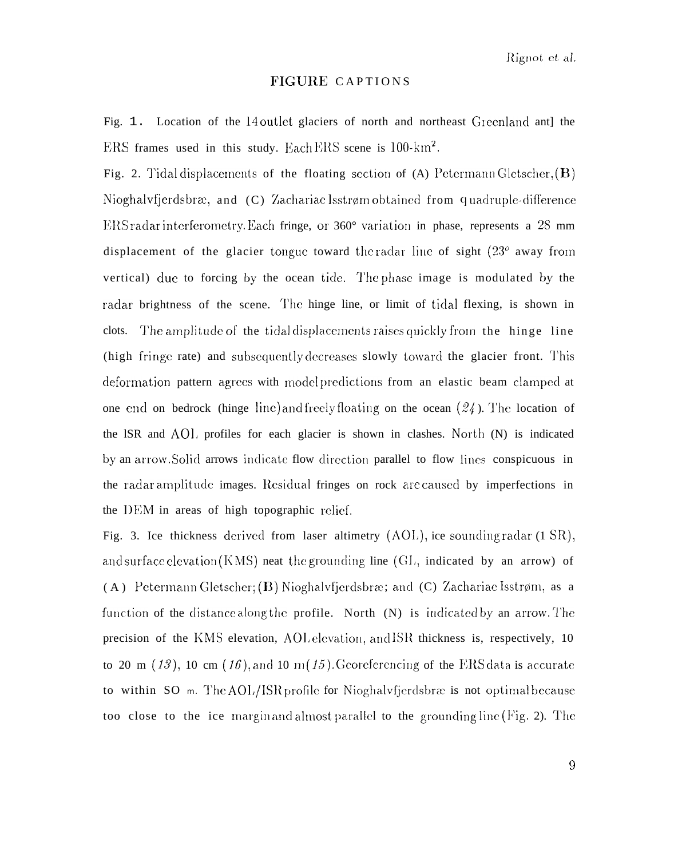#### FIGURE CAPTIONS

Fig. 1. Location of the 14 outlet glaciers of north and northeast Greenland antl the ERS frames used in this study. Each ERS scene is 100-km<sup>2</sup>.

Fig. 2. Tidal displacements of the floating section of (A) Petermann Gletscher,  $(B)$ Nioghalvfjerdsbræ, and (C) Zachariae Isstrøm obtained from quadruple-difference ERS radar interferometry. Each fringe, or  $360^{\circ}$  variation in phase, represents a 28 mm displacement of the glacier tongue toward the radar line of sight  $(23^{\circ}$  away from vertical) due to forcing by the ocean tide. The phase image is modulated by the radar brightness of the scene. The hinge line, or limit of tidal flexing, is shown in The amplitude of the tidal displacements raises quickly from the hinge line clots. (high fringe rate) and subsequently decreases slowly toward the glacier front. This deformation pattern agrees with model predictions from an elastic beam clamped at one end on bedrock (hinge line) and freely floating on the ocean  $(24)$ . The location of the ISR and AOL profiles for each glacier is shown in clashes. North (N) is indicated by an arrow. Solid arrows indicate flow direction parallel to flow lines conspicuous in the radar amplitude images. Residual fringes on rock are caused by imperfections in the DEM in areas of high topographic relief.

Fig. 3. Ice thickness derived from laser altimetry (AOL), ice sounding radar (1 SR), and surface elevation  $(KMS)$  neat the grounding line  $(GL)$ , indicated by an arrow) of (A) Petermann Gletscher; (B) Nioghalvfjerdsbræ; and (C) Zachariae Isstrøm, as a function of the distance along the profile. North (N) is indicated by an arrow. The precision of the KMS elevation, AOL elevation, and ISR thickness is, respectively, 10 to 20 m (13), 10 cm (16), and 10 m(15). Georeferencing of the ERS data is accurate to within SO m. The AOL/ISR profile for Nioghalvfjerdsbrae is not optimal because too close to the ice margin and almost parallel to the grounding line (Fig. 2). The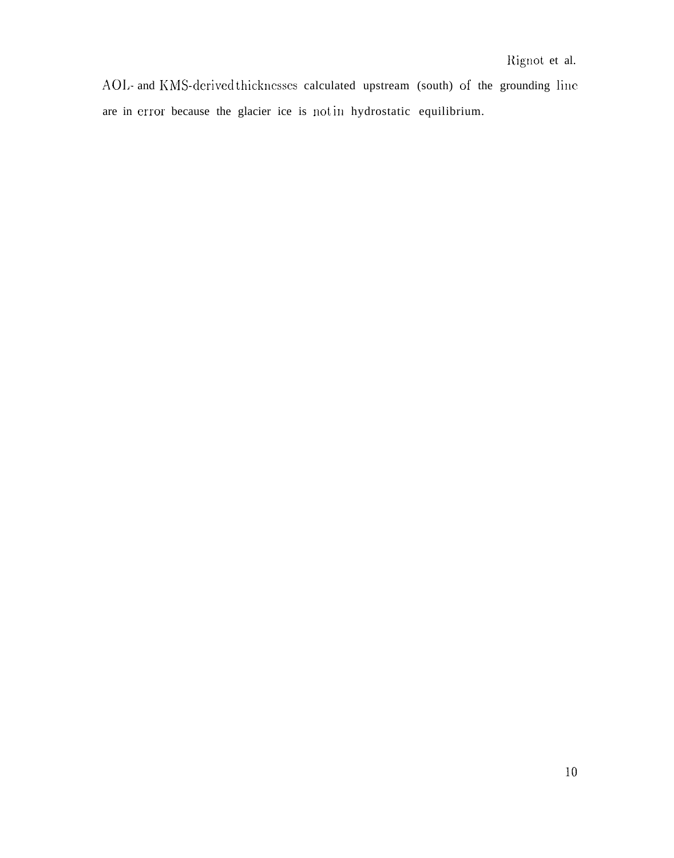AOL- and KMS-derived thicknesses calculated upstream (south) of the grounding line are in error because the glacier ice is not in hydrostatic equilibrium.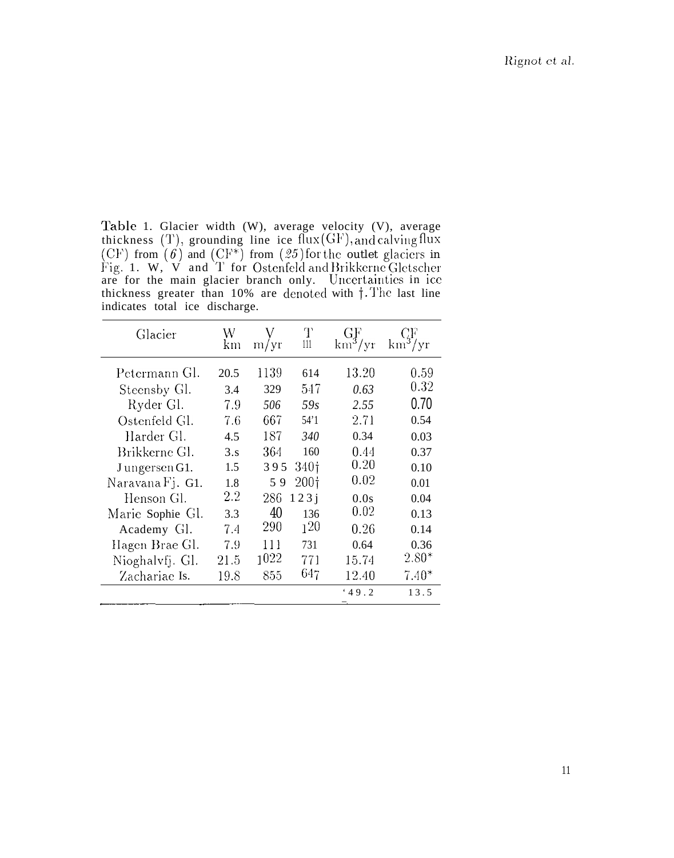Table 1. Glacier width (W), average velocity (V), average<br>thickness (T), grounding line ice flux(GF), and calving flux<br>(CF) from (6) and (CF\*) from (25) for the outlet glaciers in<br>Fig. 1. W, V and T for Ostenfeld and Brik indicates total ice discharge.

| Glacier                                                                                                                 | W<br>km                                             | m/yr                                           | Т<br>111                                                    | GF<br>$km^3/yr$                                               | CF<br>$km^3/yr$                                                     |
|-------------------------------------------------------------------------------------------------------------------------|-----------------------------------------------------|------------------------------------------------|-------------------------------------------------------------|---------------------------------------------------------------|---------------------------------------------------------------------|
| Petermann Gl.<br>Steensby Gl.<br>Ryder Gl.<br>Ostenfeld Gl.<br>Harder Gl.<br>Brikkerne Gl.<br>Jungersen G1.             | 20.5<br>3.4<br>7.9<br>7.6<br>4.5<br>3.8<br>1.5      | 1139<br>329<br>506<br>667<br>187<br>364<br>395 | 614<br>547<br>59s<br>54'1<br>340<br>160<br>340 <sub>1</sub> | 13.20<br>0.63<br>2.55<br>2.71<br>0.34<br>0.44<br>0.20<br>0.02 | 0.59<br>0.32<br>0.70<br>0.54<br>0.03<br>0.37<br>0.10                |
| Naravana Fj. G1.<br>Henson Gl.<br>Marie Sophie Gl.<br>Academy Gl.<br>Hagen Brae Gl.<br>Nioghalvfj. Gl.<br>Zachariae Is. | 1.8<br>$2.2\,$<br>3.3<br>7.4<br>7.9<br>21.5<br>19.8 | 59<br>286<br>40<br>290<br>111<br>1022<br>855   | 200 <sub>1</sub><br>123i<br>136<br>120<br>731<br>771<br>647 | 0.0s<br>0.02<br>0.26<br>0.64<br>15.74<br>12.40<br>49.2        | 0.01<br>0.04<br>0.13<br>0.14<br>0.36<br>$2.80*$<br>$7.40^*$<br>13.5 |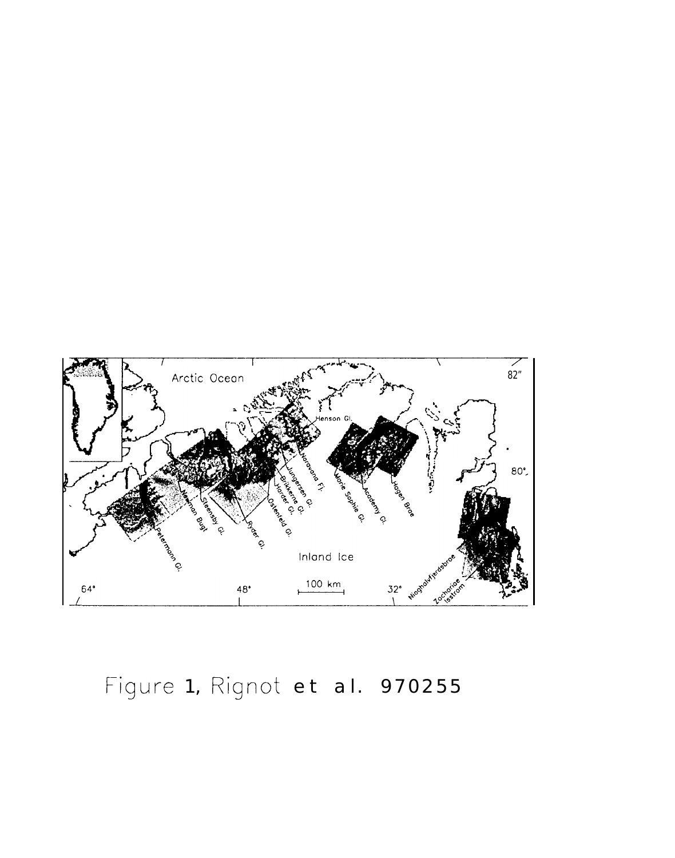

Figure 1, Rignot et al. 970255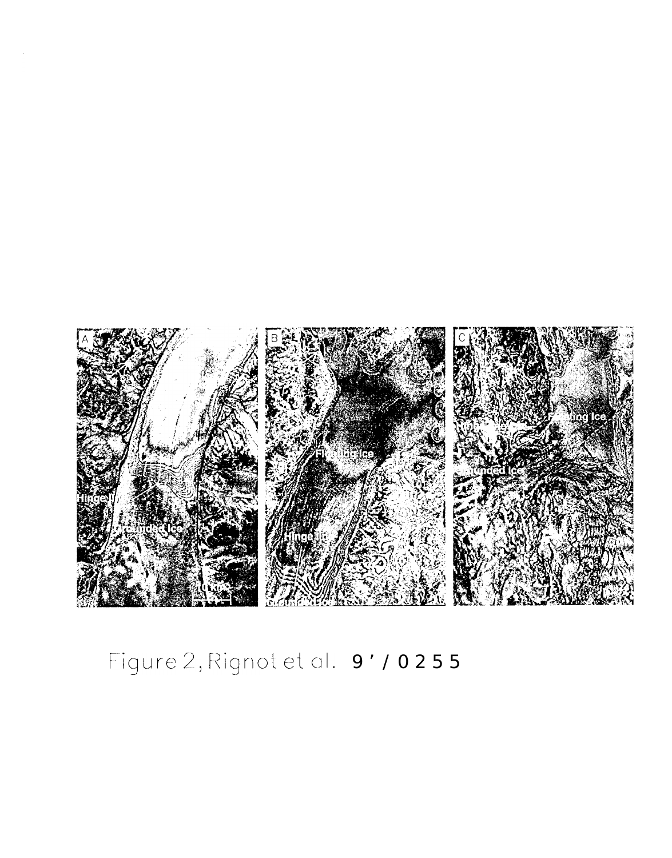

# Figure 2, Rignot et al. 9' / 0255